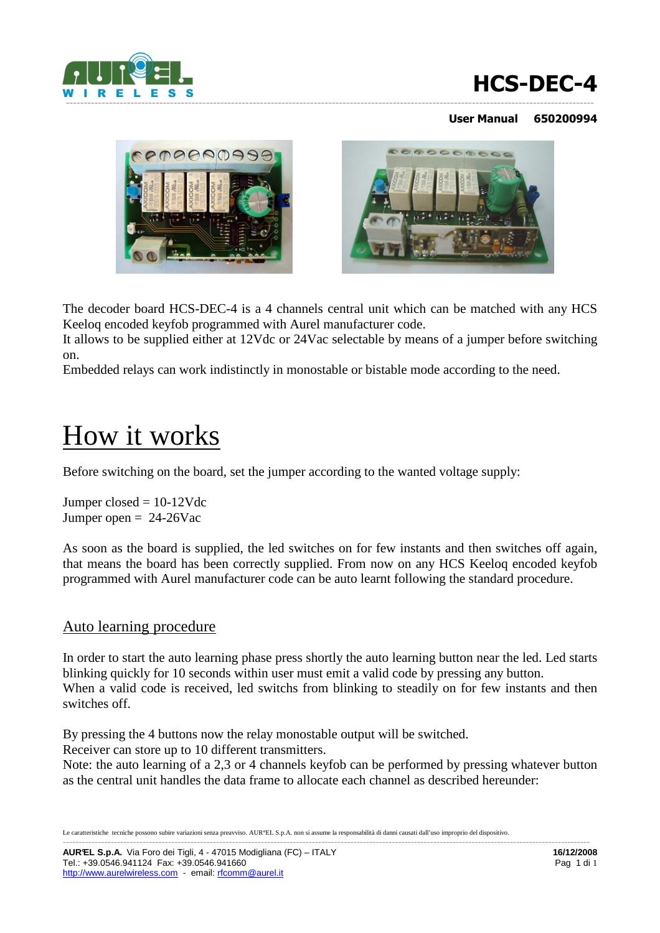

# **HCS-DEC-4**

#### **User Manual 650200994**





The decoder board HCS-DEC-4 is a 4 channels central unit which can be matched with any HCS Keeloq encoded keyfob programmed with Aurel manufacturer code.

It allows to be supplied either at 12Vdc or 24Vac selectable by means of a jumper before switching on.

Embedded relays can work indistinctly in monostable or bistable mode according to the need.

# How it works

Before switching on the board, set the jumper according to the wanted voltage supply:

Jumper closed = 10-12Vdc Jumper open  $= 24-26$ Vac

As soon as the board is supplied, the led switches on for few instants and then switches off again, that means the board has been correctly supplied. From now on any HCS Keeloq encoded keyfob programmed with Aurel manufacturer code can be auto learnt following the standard procedure.

#### Auto learning procedure

In order to start the auto learning phase press shortly the auto learning button near the led. Led starts blinking quickly for 10 seconds within user must emit a valid code by pressing any button. When a valid code is received, led switchs from blinking to steadily on for few instants and then switches off.

By pressing the 4 buttons now the relay monostable output will be switched.

Receiver can store up to 10 different transmitters.

Note: the auto learning of a 2,3 or 4 channels keyfob can be performed by pressing whatever button as the central unit handles the data frame to allocate each channel as described hereunder:

Le caratteristiche tecniche possono subire variazioni senza preavviso. AUR°EL S.p.A. non si assume la responsabilità di danni causati dall'uso improprio del dispositivo. ---------------------------------------------------------------------------------------------------------------------------------------------------------------------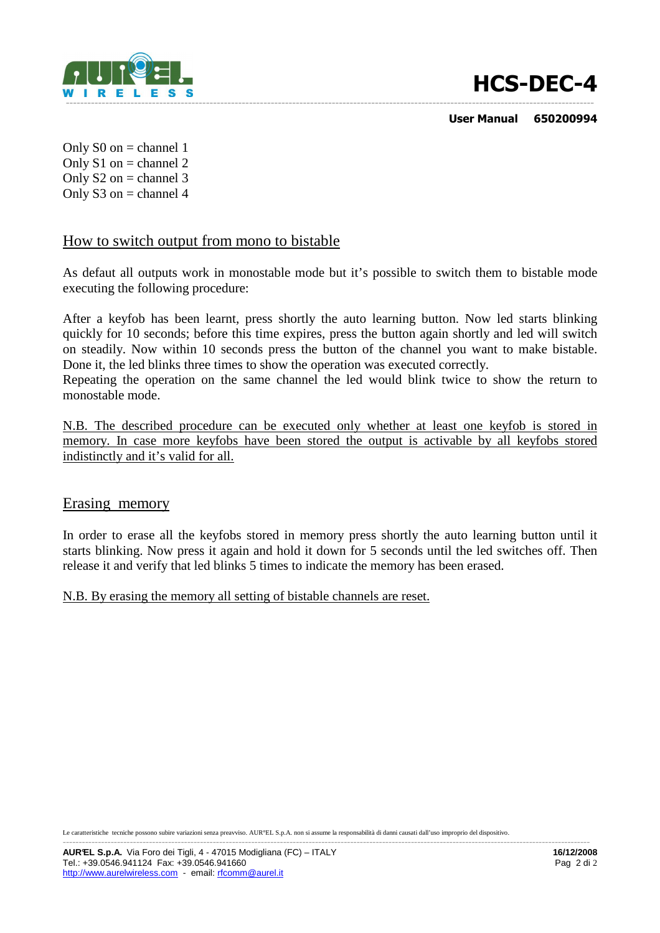

# **HCS-DEC-4**

 **User Manual 650200994** 

Only  $S0$  on = channel 1 Only  $S1$  on = channel 2 Only  $S2$  on = channel 3 Only  $S3$  on = channel 4

#### How to switch output from mono to bistable

As defaut all outputs work in monostable mode but it's possible to switch them to bistable mode executing the following procedure:

After a keyfob has been learnt, press shortly the auto learning button. Now led starts blinking quickly for 10 seconds; before this time expires, press the button again shortly and led will switch on steadily. Now within 10 seconds press the button of the channel you want to make bistable. Done it, the led blinks three times to show the operation was executed correctly.

Repeating the operation on the same channel the led would blink twice to show the return to monostable mode.

N.B. The described procedure can be executed only whether at least one keyfob is stored in memory. In case more keyfobs have been stored the output is activable by all keyfobs stored indistinctly and it's valid for all.

#### Erasing memory

In order to erase all the keyfobs stored in memory press shortly the auto learning button until it starts blinking. Now press it again and hold it down for 5 seconds until the led switches off. Then release it and verify that led blinks 5 times to indicate the memory has been erased.

N.B. By erasing the memory all setting of bistable channels are reset.

Le caratteristiche tecniche possono subire variazioni senza preavviso. AUR°EL S.p.A. non si assume la responsabilità di danni causati dall'uso improprio del dispositivo. ---------------------------------------------------------------------------------------------------------------------------------------------------------------------